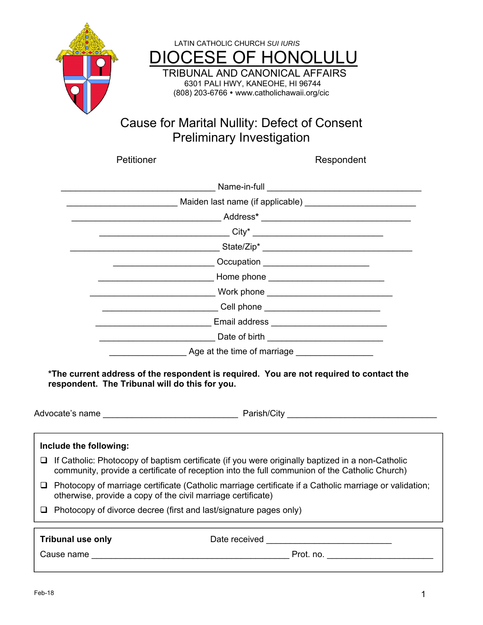



## Cause for Marital Nullity: Defect of Consent Preliminary Investigation

Petitioner Respondent

|                                                                                                                                                                                                                                       | Maiden last name (if applicable) <b>All manual Contract Contract Contract Contract Contract Contract Contract Contract Contract Contract Contract Contract Contract Contract Contract Contract Contract Contract Contract Contra</b>                                            |  |  |  |  |  |  |  |
|---------------------------------------------------------------------------------------------------------------------------------------------------------------------------------------------------------------------------------------|---------------------------------------------------------------------------------------------------------------------------------------------------------------------------------------------------------------------------------------------------------------------------------|--|--|--|--|--|--|--|
|                                                                                                                                                                                                                                       |                                                                                                                                                                                                                                                                                 |  |  |  |  |  |  |  |
|                                                                                                                                                                                                                                       | $City^*$ and $City^*$ and $City^*$ and $City^*$ and $City^*$ and $City^*$ and $City^*$ and $City^*$ and $City^*$ and $City^*$ and $Cty^*$ and $Cty^*$ and $Cty^*$ and $Cty^*$ and $Cty^*$ and $Cty^*$ and $Cty^*$ and $Cty^*$ and $Cty^*$ and $Cty^*$ and                       |  |  |  |  |  |  |  |
|                                                                                                                                                                                                                                       |                                                                                                                                                                                                                                                                                 |  |  |  |  |  |  |  |
| <u>______________</u> Occupation ________________________                                                                                                                                                                             |                                                                                                                                                                                                                                                                                 |  |  |  |  |  |  |  |
|                                                                                                                                                                                                                                       |                                                                                                                                                                                                                                                                                 |  |  |  |  |  |  |  |
| <u>Nork phone</u> work and the contract of the contract of the contract of the contract of the contract of the contract of the contract of the contract of the contract of the contract of the contract of the contract of the cont   |                                                                                                                                                                                                                                                                                 |  |  |  |  |  |  |  |
| <u>Cell phone</u> <b>Cell phone Cell phone Cell and the Cell of the Cell of the Cell of the Cell of the Cell of the Cell of the Cell of the Cell of the Cell of the Cell of the Cell of the Cell of the Cell of the Cell of the C</b> |                                                                                                                                                                                                                                                                                 |  |  |  |  |  |  |  |
|                                                                                                                                                                                                                                       |                                                                                                                                                                                                                                                                                 |  |  |  |  |  |  |  |
|                                                                                                                                                                                                                                       | <b>Example 12 Date of birth</b> and the state of $\mathbf{B}$ and $\mathbf{B}$ and $\mathbf{B}$ are stated by $\mathbf{B}$ and $\mathbf{B}$ are stated by $\mathbf{B}$ and $\mathbf{B}$ are stated by $\mathbf{B}$ and $\mathbf{B}$ are stated by $\mathbf{B}$ and $\mathbf{B}$ |  |  |  |  |  |  |  |
|                                                                                                                                                                                                                                       | Age at the time of marriage <b>Exercise</b> Age at the time of marriage                                                                                                                                                                                                         |  |  |  |  |  |  |  |
|                                                                                                                                                                                                                                       | *The current address of the respondent is required. You are not required to contact the<br>respondent. The Tribunal will do this for you.                                                                                                                                       |  |  |  |  |  |  |  |
| Include the following:                                                                                                                                                                                                                |                                                                                                                                                                                                                                                                                 |  |  |  |  |  |  |  |
| ❏                                                                                                                                                                                                                                     | If Catholic: Photocopy of baptism certificate (if you were originally baptized in a non-Catholic<br>community, provide a certificate of reception into the full communion of the Catholic Church)                                                                               |  |  |  |  |  |  |  |
| □ Photocopy of marriage certificate (Catholic marriage certificate if a Catholic marriage or validation;<br>otherwise, provide a copy of the civil marriage certificate)                                                              |                                                                                                                                                                                                                                                                                 |  |  |  |  |  |  |  |
| $\Box$ Photocopy of divorce decree (first and last/signature pages only)                                                                                                                                                              |                                                                                                                                                                                                                                                                                 |  |  |  |  |  |  |  |
| <b>Tribunal use only</b>                                                                                                                                                                                                              | Date received and the control of the control of the control of the control of the control of the control of the control of the control of the control of the control of the control of the control of the control of the contr                                                  |  |  |  |  |  |  |  |
|                                                                                                                                                                                                                                       |                                                                                                                                                                                                                                                                                 |  |  |  |  |  |  |  |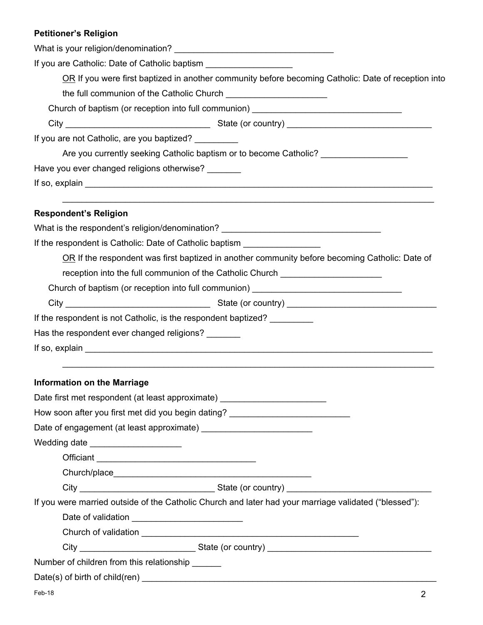### **Petitioner's Religion**

| If you are Catholic: Date of Catholic baptism                                                                                                                                                                                 |  |  |  |  |  |  |                                                     |
|-------------------------------------------------------------------------------------------------------------------------------------------------------------------------------------------------------------------------------|--|--|--|--|--|--|-----------------------------------------------------|
| OR If you were first baptized in another community before becoming Catholic: Date of reception into                                                                                                                           |  |  |  |  |  |  |                                                     |
|                                                                                                                                                                                                                               |  |  |  |  |  |  |                                                     |
| Church of baptism (or reception into full communion) ___________________________                                                                                                                                              |  |  |  |  |  |  |                                                     |
|                                                                                                                                                                                                                               |  |  |  |  |  |  | If you are not Catholic, are you baptized? ________ |
| Are you currently seeking Catholic baptism or to become Catholic? ______________                                                                                                                                              |  |  |  |  |  |  |                                                     |
| Have you ever changed religions otherwise?                                                                                                                                                                                    |  |  |  |  |  |  |                                                     |
| If so, explain example and the set of the set of the set of the set of the set of the set of the set of the set of the set of the set of the set of the set of the set of the set of the set of the set of the set of the set |  |  |  |  |  |  |                                                     |
| <b>Respondent's Religion</b>                                                                                                                                                                                                  |  |  |  |  |  |  |                                                     |
| What is the respondent's religion/denomination? ________________________________                                                                                                                                              |  |  |  |  |  |  |                                                     |
| If the respondent is Catholic: Date of Catholic baptism ________________________                                                                                                                                              |  |  |  |  |  |  |                                                     |
| OR If the respondent was first baptized in another community before becoming Catholic: Date of                                                                                                                                |  |  |  |  |  |  |                                                     |
| reception into the full communion of the Catholic Church _______________________                                                                                                                                              |  |  |  |  |  |  |                                                     |
| Church of baptism (or reception into full communion) ___________________________                                                                                                                                              |  |  |  |  |  |  |                                                     |
|                                                                                                                                                                                                                               |  |  |  |  |  |  |                                                     |
| If the respondent is not Catholic, is the respondent baptized? _________                                                                                                                                                      |  |  |  |  |  |  |                                                     |
| Has the respondent ever changed religions?                                                                                                                                                                                    |  |  |  |  |  |  |                                                     |
|                                                                                                                                                                                                                               |  |  |  |  |  |  |                                                     |
| <b>Information on the Marriage</b>                                                                                                                                                                                            |  |  |  |  |  |  |                                                     |
| Date first met respondent (at least approximate)                                                                                                                                                                              |  |  |  |  |  |  |                                                     |
|                                                                                                                                                                                                                               |  |  |  |  |  |  |                                                     |
|                                                                                                                                                                                                                               |  |  |  |  |  |  |                                                     |
| Wedding date _____________________                                                                                                                                                                                            |  |  |  |  |  |  |                                                     |
|                                                                                                                                                                                                                               |  |  |  |  |  |  |                                                     |
|                                                                                                                                                                                                                               |  |  |  |  |  |  |                                                     |
|                                                                                                                                                                                                                               |  |  |  |  |  |  |                                                     |
| If you were married outside of the Catholic Church and later had your marriage validated ("blessed"):                                                                                                                         |  |  |  |  |  |  |                                                     |
|                                                                                                                                                                                                                               |  |  |  |  |  |  |                                                     |
|                                                                                                                                                                                                                               |  |  |  |  |  |  |                                                     |
|                                                                                                                                                                                                                               |  |  |  |  |  |  |                                                     |
| Number of children from this relationship ______                                                                                                                                                                              |  |  |  |  |  |  |                                                     |
|                                                                                                                                                                                                                               |  |  |  |  |  |  |                                                     |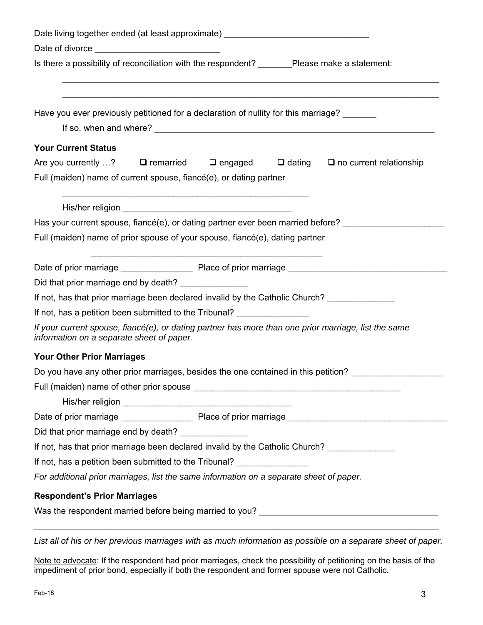| Date living together ended (at least approximate) ______________________                                                                          |  |  |  |  |  |
|---------------------------------------------------------------------------------------------------------------------------------------------------|--|--|--|--|--|
|                                                                                                                                                   |  |  |  |  |  |
| Is there a possibility of reconciliation with the respondent? _______Please make a statement:                                                     |  |  |  |  |  |
| Have you ever previously petitioned for a declaration of nullity for this marriage?                                                               |  |  |  |  |  |
| <b>Your Current Status</b>                                                                                                                        |  |  |  |  |  |
| Are you currently ? $\Box$ remarried $\Box$ engaged $\Box$ dating $\Box$ no current relationship                                                  |  |  |  |  |  |
| Full (maiden) name of current spouse, fiancé(e), or dating partner                                                                                |  |  |  |  |  |
|                                                                                                                                                   |  |  |  |  |  |
| Has your current spouse, fiancé(e), or dating partner ever been married before?                                                                   |  |  |  |  |  |
| Full (maiden) name of prior spouse of your spouse, fiancé(e), dating partner                                                                      |  |  |  |  |  |
|                                                                                                                                                   |  |  |  |  |  |
|                                                                                                                                                   |  |  |  |  |  |
| Did that prior marriage end by death? _______________                                                                                             |  |  |  |  |  |
| If not, has that prior marriage been declared invalid by the Catholic Church?                                                                     |  |  |  |  |  |
| If not, has a petition been submitted to the Tribunal?                                                                                            |  |  |  |  |  |
| If your current spouse, fiancé(e), or dating partner has more than one prior marriage, list the same<br>information on a separate sheet of paper. |  |  |  |  |  |
| <b>Your Other Prior Marriages</b>                                                                                                                 |  |  |  |  |  |
| Do you have any other prior marriages, besides the one contained in this petition?                                                                |  |  |  |  |  |
|                                                                                                                                                   |  |  |  |  |  |
|                                                                                                                                                   |  |  |  |  |  |
|                                                                                                                                                   |  |  |  |  |  |
| Did that prior marriage end by death? _______________                                                                                             |  |  |  |  |  |
| If not, has that prior marriage been declared invalid by the Catholic Church? ______________                                                      |  |  |  |  |  |
| If not, has a petition been submitted to the Tribunal?                                                                                            |  |  |  |  |  |
| For additional prior marriages, list the same information on a separate sheet of paper.                                                           |  |  |  |  |  |
| <b>Respondent's Prior Marriages</b>                                                                                                               |  |  |  |  |  |
|                                                                                                                                                   |  |  |  |  |  |

*List all of his or her previous marriages with as much information as possible on a separate sheet of paper.* 

Note to advocate: If the respondent had prior marriages, check the possibility of petitioning on the basis of the impediment of prior bond, especially if both the respondent and former spouse were not Catholic.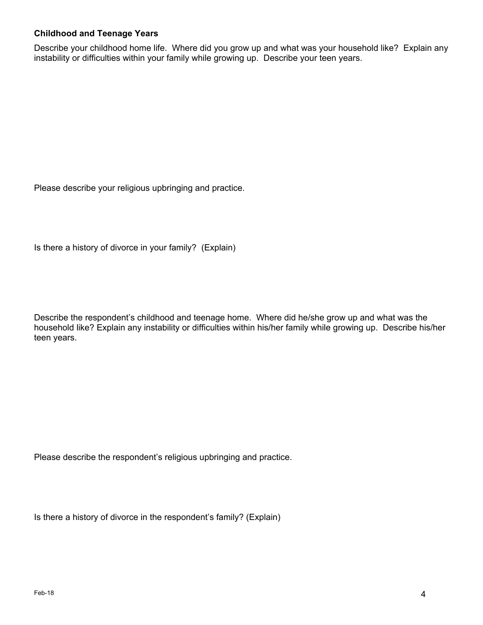#### **Childhood and Teenage Years**

Describe your childhood home life. Where did you grow up and what was your household like? Explain any instability or difficulties within your family while growing up. Describe your teen years.

Please describe your religious upbringing and practice.

Is there a history of divorce in your family? (Explain)

Describe the respondent's childhood and teenage home. Where did he/she grow up and what was the household like? Explain any instability or difficulties within his/her family while growing up. Describe his/her teen years.

Please describe the respondent's religious upbringing and practice.

Is there a history of divorce in the respondent's family? (Explain)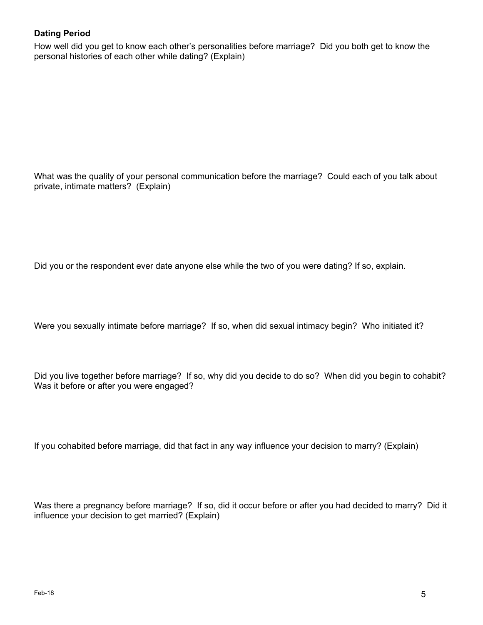#### **Dating Period**

How well did you get to know each other's personalities before marriage? Did you both get to know the personal histories of each other while dating? (Explain)

What was the quality of your personal communication before the marriage? Could each of you talk about private, intimate matters? (Explain)

Did you or the respondent ever date anyone else while the two of you were dating? If so, explain.

Were you sexually intimate before marriage? If so, when did sexual intimacy begin? Who initiated it?

Did you live together before marriage? If so, why did you decide to do so? When did you begin to cohabit? Was it before or after you were engaged?

If you cohabited before marriage, did that fact in any way influence your decision to marry? (Explain)

Was there a pregnancy before marriage? If so, did it occur before or after you had decided to marry? Did it influence your decision to get married? (Explain)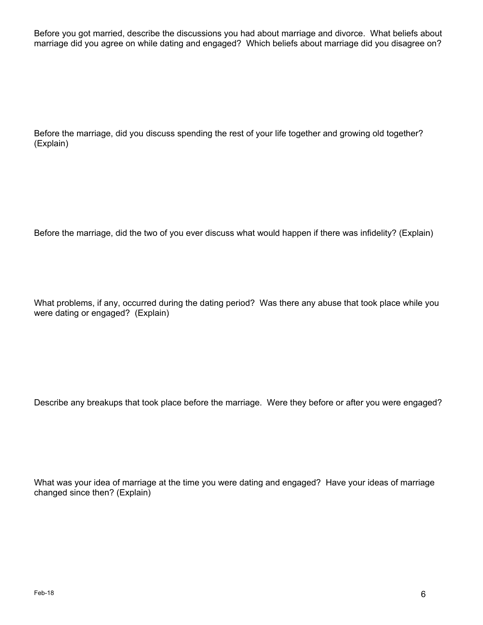Before you got married, describe the discussions you had about marriage and divorce. What beliefs about marriage did you agree on while dating and engaged? Which beliefs about marriage did you disagree on?

Before the marriage, did you discuss spending the rest of your life together and growing old together? (Explain)

Before the marriage, did the two of you ever discuss what would happen if there was infidelity? (Explain)

What problems, if any, occurred during the dating period? Was there any abuse that took place while you were dating or engaged? (Explain)

Describe any breakups that took place before the marriage. Were they before or after you were engaged?

What was your idea of marriage at the time you were dating and engaged? Have your ideas of marriage changed since then? (Explain)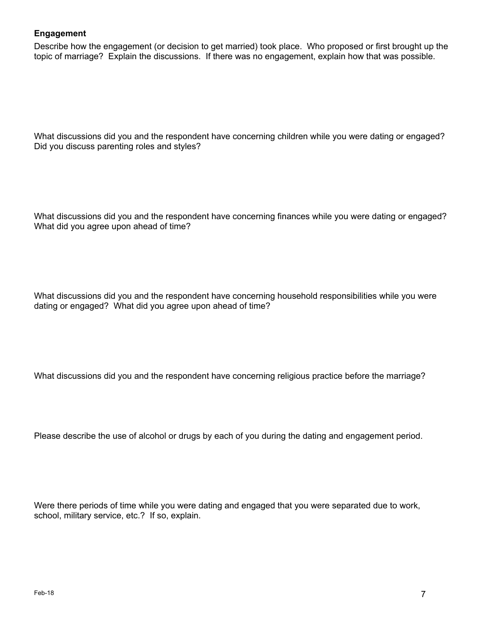#### **Engagement**

Describe how the engagement (or decision to get married) took place. Who proposed or first brought up the topic of marriage? Explain the discussions. If there was no engagement, explain how that was possible.

What discussions did you and the respondent have concerning children while you were dating or engaged? Did you discuss parenting roles and styles?

What discussions did you and the respondent have concerning finances while you were dating or engaged? What did you agree upon ahead of time?

What discussions did you and the respondent have concerning household responsibilities while you were dating or engaged? What did you agree upon ahead of time?

What discussions did you and the respondent have concerning religious practice before the marriage?

Please describe the use of alcohol or drugs by each of you during the dating and engagement period.

Were there periods of time while you were dating and engaged that you were separated due to work, school, military service, etc.? If so, explain.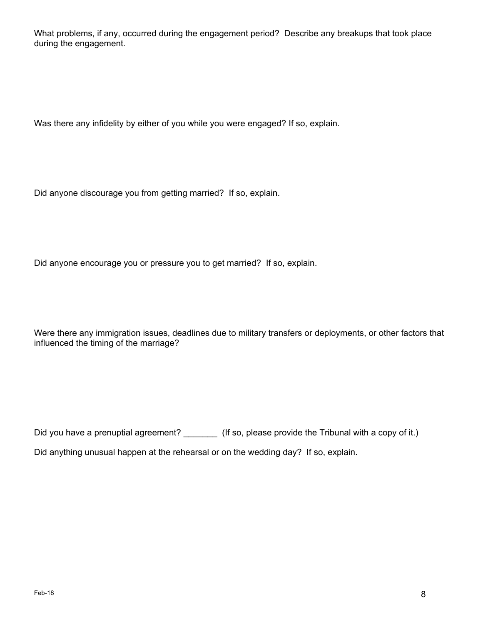What problems, if any, occurred during the engagement period? Describe any breakups that took place during the engagement.

Was there any infidelity by either of you while you were engaged? If so, explain.

Did anyone discourage you from getting married? If so, explain.

Did anyone encourage you or pressure you to get married? If so, explain.

Were there any immigration issues, deadlines due to military transfers or deployments, or other factors that influenced the timing of the marriage?

Did you have a prenuptial agreement? \_\_\_\_\_\_\_\_ (If so, please provide the Tribunal with a copy of it.) Did anything unusual happen at the rehearsal or on the wedding day? If so, explain.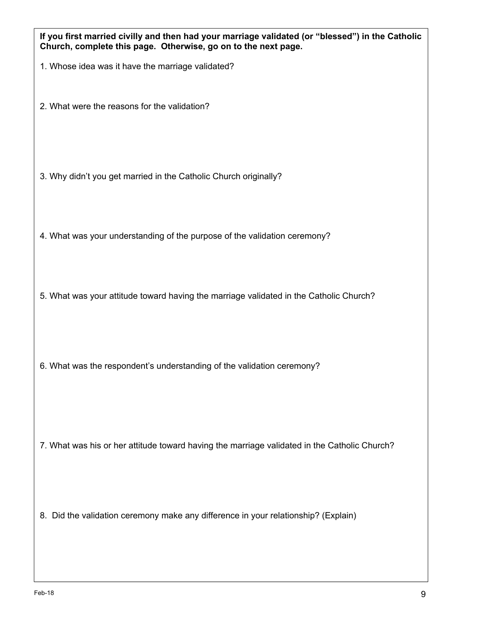| Feb-18                                                                                       | 9 |
|----------------------------------------------------------------------------------------------|---|
|                                                                                              |   |
| 8. Did the validation ceremony make any difference in your relationship? (Explain)           |   |
| 7. What was his or her attitude toward having the marriage validated in the Catholic Church? |   |
| 6. What was the respondent's understanding of the validation ceremony?                       |   |
| 5. What was your attitude toward having the marriage validated in the Catholic Church?       |   |
| 4. What was your understanding of the purpose of the validation ceremony?                    |   |
| 3. Why didn't you get married in the Catholic Church originally?                             |   |
| 2. What were the reasons for the validation?                                                 |   |

**If you first married civilly and then had your marriage validated (or "blessed") in the Catholic** 

**Church, complete this page. Otherwise, go on to the next page.**

1. Whose idea was it have the marriage validated?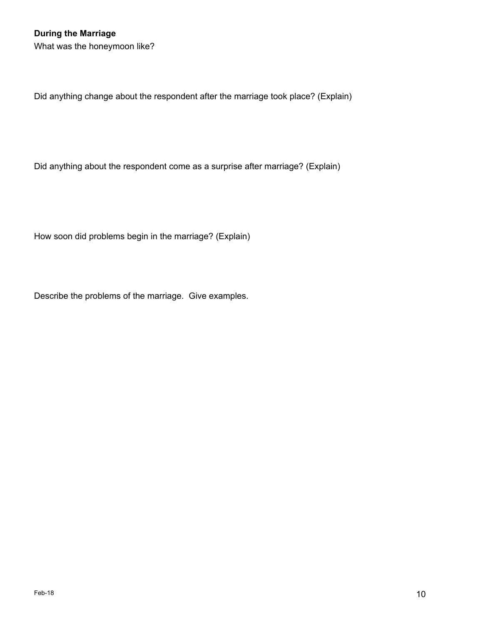What was the honeymoon like?

Did anything change about the respondent after the marriage took place? (Explain)

Did anything about the respondent come as a surprise after marriage? (Explain)

How soon did problems begin in the marriage? (Explain)

Describe the problems of the marriage. Give examples.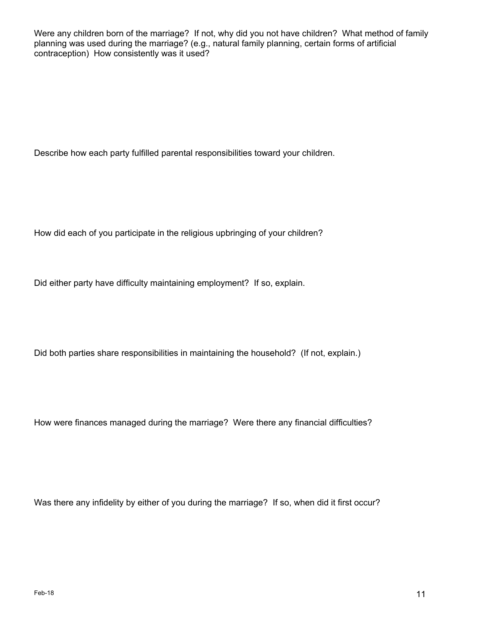Were any children born of the marriage? If not, why did you not have children? What method of family planning was used during the marriage? (e.g., natural family planning, certain forms of artificial contraception) How consistently was it used?

Describe how each party fulfilled parental responsibilities toward your children.

How did each of you participate in the religious upbringing of your children?

Did either party have difficulty maintaining employment? If so, explain.

Did both parties share responsibilities in maintaining the household? (If not, explain.)

How were finances managed during the marriage? Were there any financial difficulties?

Was there any infidelity by either of you during the marriage? If so, when did it first occur?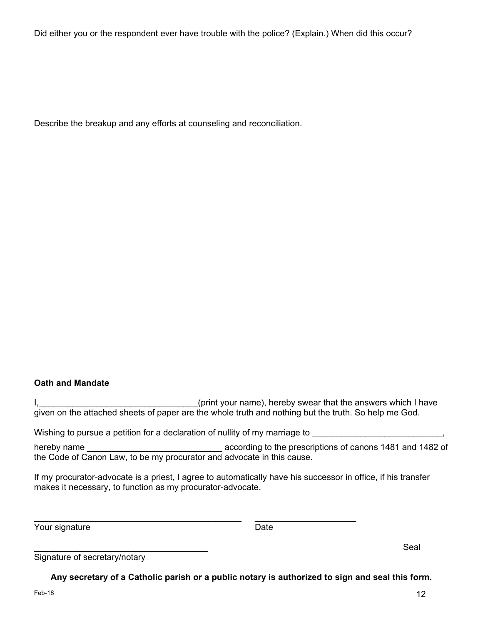Did either you or the respondent ever have trouble with the police? (Explain.) When did this occur?

Describe the breakup and any efforts at counseling and reconciliation.

#### **Oath and Mandate**

I, I, All Electronic and the subset of the state of the answers which I have interesting that the answers which I have given on the attached sheets of paper are the whole truth and nothing but the truth. So help me God.

Wishing to pursue a petition for a declaration of nullity of my marriage to

\_\_\_\_\_\_\_\_\_\_\_\_\_\_\_\_\_\_\_\_\_\_\_\_\_\_\_\_\_\_\_\_\_\_\_\_\_\_\_\_\_\_\_ \_\_\_\_\_\_\_\_\_\_\_\_\_\_\_\_\_\_\_\_\_

hereby name **the according to the prescriptions of canons 1481 and 1482 of** the Code of Canon Law, to be my procurator and advocate in this cause.

If my procurator-advocate is a priest, I agree to automatically have his successor in office, if his transfer makes it necessary, to function as my procurator-advocate.

Your signature Date Date

 $\blacksquare$ 

| Signature of secretary/notary |  |  |
|-------------------------------|--|--|
|                               |  |  |

**Any secretary of a Catholic parish or a public notary is authorized to sign and seal this form.**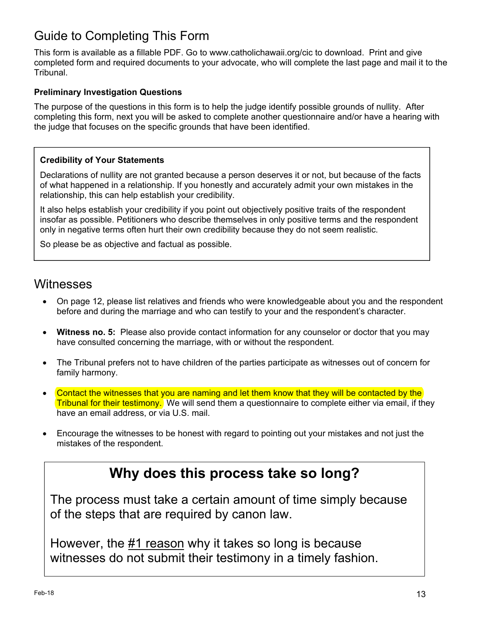# Guide to Completing This Form

This form is available as a fillable PDF. Go to www.catholichawaii.org/cic to download. Print and give completed form and required documents to your advocate, who will complete the last page and mail it to the Tribunal.

#### **Preliminary Investigation Questions**

The purpose of the questions in this form is to help the judge identify possible grounds of nullity. After completing this form, next you will be asked to complete another questionnaire and/or have a hearing with the judge that focuses on the specific grounds that have been identified.

#### **Credibility of Your Statements**

Declarations of nullity are not granted because a person deserves it or not, but because of the facts of what happened in a relationship. If you honestly and accurately admit your own mistakes in the relationship, this can help establish your credibility.

It also helps establish your credibility if you point out objectively positive traits of the respondent insofar as possible. Petitioners who describe themselves in only positive terms and the respondent only in negative terms often hurt their own credibility because they do not seem realistic.

So please be as objective and factual as possible.

### **Witnesses**

- On page 12, please list relatives and friends who were knowledgeable about you and the respondent before and during the marriage and who can testify to your and the respondent's character.
- **Witness no. 5:** Please also provide contact information for any counselor or doctor that you may have consulted concerning the marriage, with or without the respondent.
- The Tribunal prefers not to have children of the parties participate as witnesses out of concern for family harmony.
- Contact the witnesses that you are naming and let them know that they will be contacted by the Tribunal for their testimony. We will send them a questionnaire to complete either via email, if they have an email address, or via U.S. mail.
- Encourage the witnesses to be honest with regard to pointing out your mistakes and not just the mistakes of the respondent.

# **Why does this process take so long?**

The process must take a certain amount of time simply because of the steps that are required by canon law.

However, the #1 reason why it takes so long is because witnesses do not submit their testimony in a timely fashion.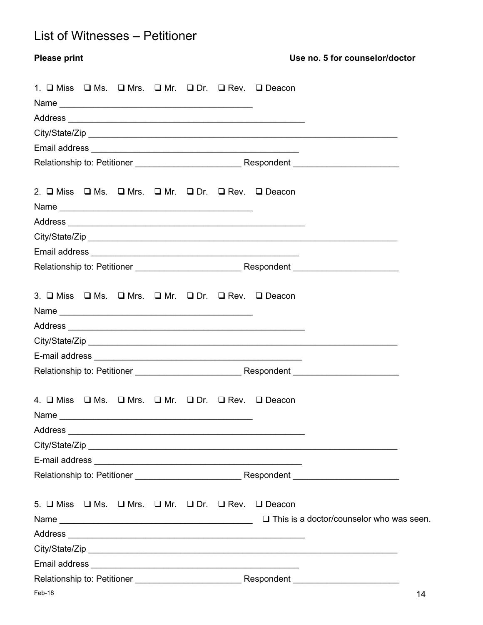# List of Witnesses – Petitioner

| <b>Please print</b> |  |  |                                                                                                            | Use no. 5 for counselor/doctor |
|---------------------|--|--|------------------------------------------------------------------------------------------------------------|--------------------------------|
|                     |  |  | 1. O Miss O Ms. O Mrs. O Mr. O Dr. O Rev. O Deacon                                                         |                                |
|                     |  |  |                                                                                                            |                                |
|                     |  |  |                                                                                                            |                                |
|                     |  |  |                                                                                                            |                                |
|                     |  |  |                                                                                                            |                                |
|                     |  |  |                                                                                                            |                                |
|                     |  |  | 2. $\square$ Miss $\square$ Ms. $\square$ Mrs. $\square$ Mr. $\square$ Dr. $\square$ Rev. $\square$ Deacon |                                |
|                     |  |  |                                                                                                            |                                |
|                     |  |  |                                                                                                            |                                |
|                     |  |  |                                                                                                            |                                |
|                     |  |  |                                                                                                            |                                |
|                     |  |  | 3. $\Box$ Miss $\Box$ Ms. $\Box$ Mrs. $\Box$ Mr. $\Box$ Dr. $\Box$ Rev. $\Box$ Deacon                      |                                |
|                     |  |  |                                                                                                            |                                |
|                     |  |  |                                                                                                            | City/State/Zip                 |
|                     |  |  |                                                                                                            |                                |
|                     |  |  |                                                                                                            |                                |
|                     |  |  | 4. O Miss O Ms. O Mrs. O Mr. O Dr. O Rev. O Deacon                                                         |                                |
|                     |  |  |                                                                                                            |                                |
|                     |  |  |                                                                                                            |                                |
|                     |  |  |                                                                                                            |                                |
|                     |  |  |                                                                                                            |                                |
|                     |  |  | 5. O Miss O Ms. O Mrs. O Mr. O Dr. O Rev. O Deacon                                                         |                                |
|                     |  |  |                                                                                                            |                                |
|                     |  |  |                                                                                                            |                                |
|                     |  |  |                                                                                                            |                                |
|                     |  |  |                                                                                                            |                                |
| Feb-18              |  |  |                                                                                                            | 14                             |